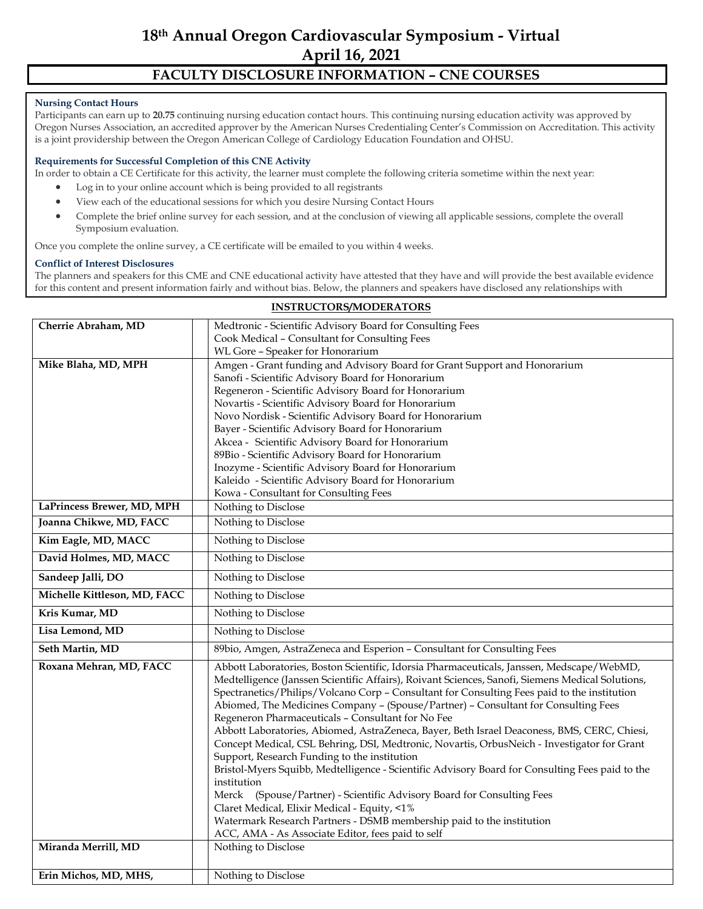# **18th Annual Oregon Cardiovascular Symposium - Virtual April 16, 2021**

## **FACULTY DISCLOSURE INFORMATION – CNE COURSES**

#### **Nursing Contact Hours**

Participants can earn up to **20.75** continuing nursing education contact hours. This continuing nursing education activity was approved by Oregon Nurses Association, an accredited approver by the American Nurses Credentialing Center's Commission on Accreditation. This activity is a joint providership between the Oregon American College of Cardiology Education Foundation and OHSU.

#### **Requirements for Successful Completion of this CNE Activity**

In order to obtain a CE Certificate for this activity, the learner must complete the following criteria sometime within the next year:

- Log in to your online account which is being provided to all registrants
- View each of the educational sessions for which you desire Nursing Contact Hours
- Complete the brief online survey for each session, and at the conclusion of viewing all applicable sessions, complete the overall Symposium evaluation.

Once you complete the online survey, a CE certificate will be emailed to you within 4 weeks.

#### **Conflict of Interest Disclosures**

The planners and speakers for this CME and CNE educational activity have attested that they have and will provide the best available evidence for this content and present information fairly and without bias. Below, the planners and speakers have disclosed any relationships with

| Cherrie Abraham, MD          | Medtronic - Scientific Advisory Board for Consulting Fees                                                                                                                                     |  |  |
|------------------------------|-----------------------------------------------------------------------------------------------------------------------------------------------------------------------------------------------|--|--|
|                              | Cook Medical - Consultant for Consulting Fees                                                                                                                                                 |  |  |
|                              | WL Gore - Speaker for Honorarium                                                                                                                                                              |  |  |
| Mike Blaha, MD, MPH          | Amgen - Grant funding and Advisory Board for Grant Support and Honorarium                                                                                                                     |  |  |
|                              | Sanofi - Scientific Advisory Board for Honorarium                                                                                                                                             |  |  |
|                              | Regeneron - Scientific Advisory Board for Honorarium                                                                                                                                          |  |  |
|                              | Novartis - Scientific Advisory Board for Honorarium                                                                                                                                           |  |  |
|                              | Novo Nordisk - Scientific Advisory Board for Honorarium                                                                                                                                       |  |  |
|                              | Bayer - Scientific Advisory Board for Honorarium                                                                                                                                              |  |  |
|                              | Akcea - Scientific Advisory Board for Honorarium                                                                                                                                              |  |  |
|                              | 89Bio - Scientific Advisory Board for Honorarium                                                                                                                                              |  |  |
|                              | Inozyme - Scientific Advisory Board for Honorarium                                                                                                                                            |  |  |
|                              | Kaleido - Scientific Advisory Board for Honorarium                                                                                                                                            |  |  |
|                              | Kowa - Consultant for Consulting Fees                                                                                                                                                         |  |  |
| LaPrincess Brewer, MD, MPH   | Nothing to Disclose                                                                                                                                                                           |  |  |
| Joanna Chikwe, MD, FACC      | Nothing to Disclose                                                                                                                                                                           |  |  |
| Kim Eagle, MD, MACC          | Nothing to Disclose                                                                                                                                                                           |  |  |
| David Holmes, MD, MACC       | Nothing to Disclose                                                                                                                                                                           |  |  |
| Sandeep Jalli, DO            | Nothing to Disclose                                                                                                                                                                           |  |  |
| Michelle Kittleson, MD, FACC | Nothing to Disclose                                                                                                                                                                           |  |  |
| Kris Kumar, MD               | Nothing to Disclose                                                                                                                                                                           |  |  |
| Lisa Lemond, MD              | Nothing to Disclose                                                                                                                                                                           |  |  |
| Seth Martin, MD              | 89bio, Amgen, AstraZeneca and Esperion - Consultant for Consulting Fees                                                                                                                       |  |  |
| Roxana Mehran, MD, FACC      | Abbott Laboratories, Boston Scientific, Idorsia Pharmaceuticals, Janssen, Medscape/WebMD,<br>Medtelligence (Janssen Scientific Affairs), Roivant Sciences, Sanofi, Siemens Medical Solutions, |  |  |
|                              | Spectranetics/Philips/Volcano Corp - Consultant for Consulting Fees paid to the institution                                                                                                   |  |  |
|                              | Abiomed, The Medicines Company - (Spouse/Partner) - Consultant for Consulting Fees                                                                                                            |  |  |
|                              | Regeneron Pharmaceuticals - Consultant for No Fee                                                                                                                                             |  |  |
|                              | Abbott Laboratories, Abiomed, AstraZeneca, Bayer, Beth Israel Deaconess, BMS, CERC, Chiesi,                                                                                                   |  |  |
|                              | Concept Medical, CSL Behring, DSI, Medtronic, Novartis, OrbusNeich - Investigator for Grant                                                                                                   |  |  |
|                              | Support, Research Funding to the institution                                                                                                                                                  |  |  |
|                              | Bristol-Myers Squibb, Medtelligence - Scientific Advisory Board for Consulting Fees paid to the                                                                                               |  |  |
|                              | institution                                                                                                                                                                                   |  |  |
|                              | Merck (Spouse/Partner) - Scientific Advisory Board for Consulting Fees                                                                                                                        |  |  |
|                              | Claret Medical, Elixir Medical - Equity, <1%                                                                                                                                                  |  |  |
|                              | Watermark Research Partners - DSMB membership paid to the institution                                                                                                                         |  |  |
|                              | ACC, AMA - As Associate Editor, fees paid to self                                                                                                                                             |  |  |
| Miranda Merrill, MD          | Nothing to Disclose                                                                                                                                                                           |  |  |
| Erin Michos, MD, MHS,        | Nothing to Disclose                                                                                                                                                                           |  |  |
|                              |                                                                                                                                                                                               |  |  |

### **INSTRUCTORS/MODERATORS**